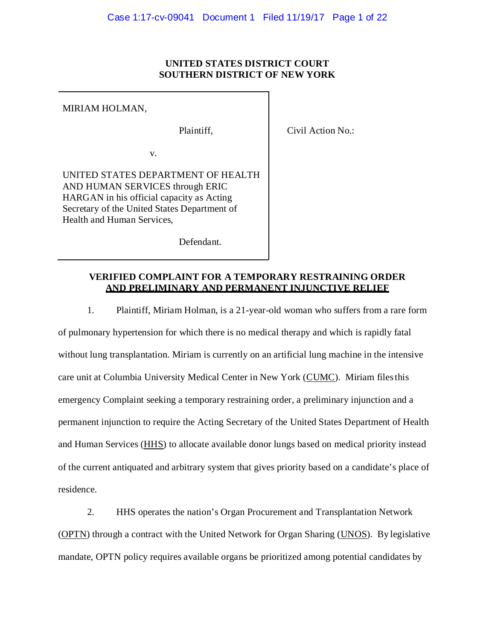# **UNITED STATES DISTRICT COURT SOUTHERN DISTRICT OF NEW YORK**

MIRIAM HOLMAN,

Plaintiff,

Civil Action No.:

v.

UNITED STATES DEPARTMENT OF HEALTH AND HUMAN SERVICES through ERIC HARGAN in his official capacity as Acting Secretary of the United States Department of Health and Human Services,

Defendant.

# **VERIFIED COMPLAINT FOR A TEMPORARY RESTRAINING ORDER AND PRELIMINARY AND PERMANENT INJUNCTIVE RELIEF**

1. Plaintiff, Miriam Holman, is a 21-year-old woman who suffers from a rare form of pulmonary hypertension for which there is no medical therapy and which is rapidly fatal without lung transplantation. Miriam is currently on an artificial lung machine in the intensive care unit at Columbia University Medical Center in New York (CUMC). Miriam filesthis emergency Complaint seeking a temporary restraining order, a preliminary injunction and a permanent injunction to require the Acting Secretary of the United States Department of Health and Human Services (HHS) to allocate available donor lungs based on medical priority instead of the current antiquated and arbitrary system that gives priority based on a candidate's place of residence.

2. HHS operates the nation's Organ Procurement and Transplantation Network (OPTN) through a contract with the United Network for Organ Sharing (UNOS). By legislative mandate, OPTN policy requires available organs be prioritized among potential candidates by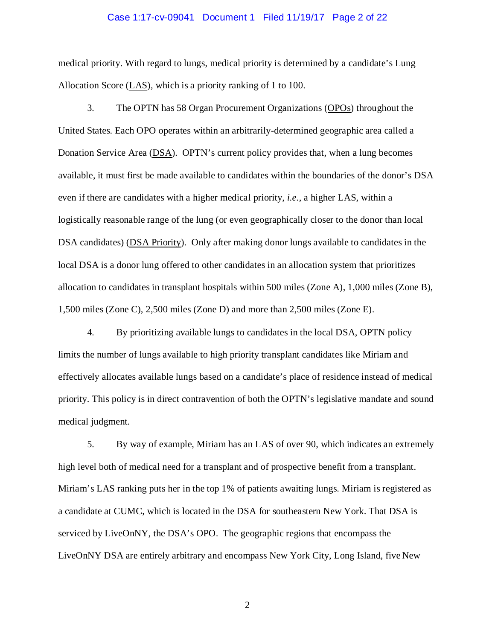#### Case 1:17-cv-09041 Document 1 Filed 11/19/17 Page 2 of 22

medical priority. With regard to lungs, medical priority is determined by a candidate's Lung Allocation Score (LAS), which is a priority ranking of 1 to 100.

3. The OPTN has 58 Organ Procurement Organizations (OPOs) throughout the United States. Each OPO operates within an arbitrarily-determined geographic area called a Donation Service Area (DSA). OPTN's current policy provides that, when a lung becomes available, it must first be made available to candidates within the boundaries of the donor's DSA even if there are candidates with a higher medical priority, *i.e.*, a higher LAS, within a logistically reasonable range of the lung (or even geographically closer to the donor than local DSA candidates) (DSA Priority). Only after making donor lungs available to candidates in the local DSA is a donor lung offered to other candidates in an allocation system that prioritizes allocation to candidates in transplant hospitals within 500 miles (Zone A), 1,000 miles (Zone B), 1,500 miles (Zone C), 2,500 miles (Zone D) and more than 2,500 miles (Zone E).

4. By prioritizing available lungs to candidates in the local DSA, OPTN policy limits the number of lungs available to high priority transplant candidates like Miriam and effectively allocates available lungs based on a candidate's place of residence instead of medical priority. This policy is in direct contravention of both the OPTN's legislative mandate and sound medical judgment.

5. By way of example, Miriam has an LAS of over 90, which indicates an extremely high level both of medical need for a transplant and of prospective benefit from a transplant. Miriam's LAS ranking puts her in the top 1% of patients awaiting lungs. Miriam is registered as a candidate at CUMC, which is located in the DSA for southeastern New York. That DSA is serviced by LiveOnNY, the DSA's OPO. The geographic regions that encompass the LiveOnNY DSA are entirely arbitrary and encompass New York City, Long Island, five New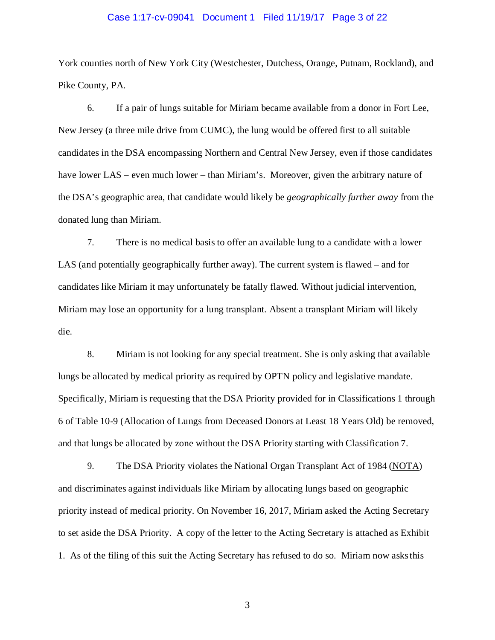#### Case 1:17-cv-09041 Document 1 Filed 11/19/17 Page 3 of 22

York counties north of New York City (Westchester, Dutchess, Orange, Putnam, Rockland), and Pike County, PA.

6. If a pair of lungs suitable for Miriam became available from a donor in Fort Lee, New Jersey (a three mile drive from CUMC), the lung would be offered first to all suitable candidates in the DSA encompassing Northern and Central New Jersey, even if those candidates have lower LAS – even much lower – than Miriam's. Moreover, given the arbitrary nature of the DSA's geographic area, that candidate would likely be *geographically further away* from the donated lung than Miriam.

7. There is no medical basis to offer an available lung to a candidate with a lower LAS (and potentially geographically further away). The current system is flawed – and for candidates like Miriam it may unfortunately be fatally flawed. Without judicial intervention, Miriam may lose an opportunity for a lung transplant. Absent a transplant Miriam will likely die.

8. Miriam is not looking for any special treatment. She is only asking that available lungs be allocated by medical priority as required by OPTN policy and legislative mandate. Specifically, Miriam is requesting that the DSA Priority provided for in Classifications 1 through 6 of Table 10-9 (Allocation of Lungs from Deceased Donors at Least 18 Years Old) be removed, and that lungs be allocated by zone without the DSA Priority starting with Classification 7.

9. The DSA Priority violates the National Organ Transplant Act of 1984 (NOTA) and discriminates against individuals like Miriam by allocating lungs based on geographic priority instead of medical priority. On November 16, 2017, Miriam asked the Acting Secretary to set aside the DSA Priority. A copy of the letter to the Acting Secretary is attached as Exhibit 1. As of the filing of this suit the Acting Secretary has refused to do so. Miriam now asksthis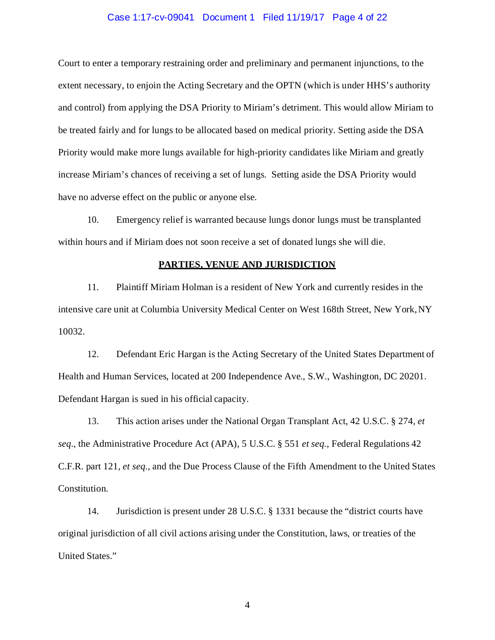#### Case 1:17-cv-09041 Document 1 Filed 11/19/17 Page 4 of 22

Court to enter a temporary restraining order and preliminary and permanent injunctions, to the extent necessary, to enjoin the Acting Secretary and the OPTN (which is under HHS's authority and control) from applying the DSA Priority to Miriam's detriment. This would allow Miriam to be treated fairly and for lungs to be allocated based on medical priority. Setting aside the DSA Priority would make more lungs available for high-priority candidates like Miriam and greatly increase Miriam's chances of receiving a set of lungs. Setting aside the DSA Priority would have no adverse effect on the public or anyone else.

10. Emergency relief is warranted because lungs donor lungs must be transplanted within hours and if Miriam does not soon receive a set of donated lungs she will die.

#### **PARTIES, VENUE AND JURISDICTION**

11. Plaintiff Miriam Holman is a resident of New York and currently resides in the intensive care unit at Columbia University Medical Center on West 168th Street, New York,NY 10032.

12. Defendant Eric Hargan is the Acting Secretary of the United States Department of Health and Human Services, located at 200 Independence Ave., S.W., Washington, DC 20201. Defendant Hargan is sued in his official capacity.

13. This action arises under the National Organ Transplant Act, 42 U.S.C. § 274, *et seq.*, the Administrative Procedure Act (APA), 5 U.S.C. § 551 *et seq.,* Federal Regulations 42 C.F.R. part 121, *et seq.,* and the Due Process Clause of the Fifth Amendment to the United States Constitution.

14. Jurisdiction is present under 28 U.S.C. § 1331 because the "district courts have original jurisdiction of all civil actions arising under the Constitution, laws, or treaties of the United States."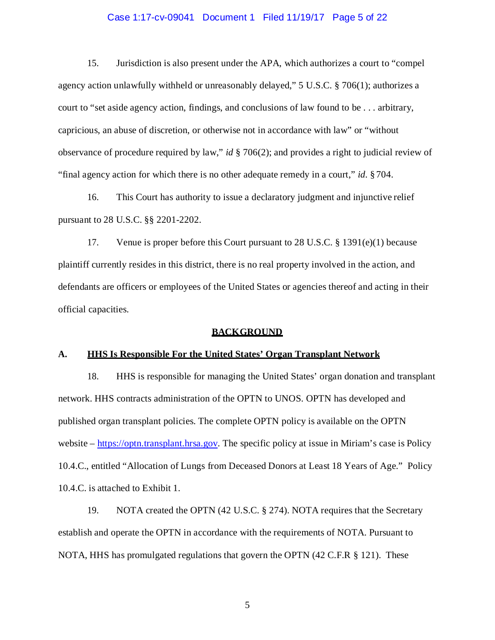#### Case 1:17-cv-09041 Document 1 Filed 11/19/17 Page 5 of 22

15. Jurisdiction is also present under the APA, which authorizes a court to "compel agency action unlawfully withheld or unreasonably delayed," 5 U.S.C. § 706(1); authorizes a court to "set aside agency action, findings, and conclusions of law found to be . . . arbitrary, capricious, an abuse of discretion, or otherwise not in accordance with law" or "without observance of procedure required by law," *id* § 706(2); and provides a right to judicial review of "final agency action for which there is no other adequate remedy in a court," *id.* § 704.

16. This Court has authority to issue a declaratory judgment and injunctive relief pursuant to 28 U.S.C. §§ 2201-2202.

17. Venue is proper before this Court pursuant to 28 U.S.C. § 1391(e)(1) because plaintiff currently resides in this district, there is no real property involved in the action, and defendants are officers or employees of the United States or agencies thereof and acting in their official capacities.

#### **BACKGROUND**

#### **A. HHS Is Responsible For the United States' Organ Transplant Network**

18. HHS is responsible for managing the United States' organ donation and transplant network. HHS contracts administration of the OPTN to UNOS. OPTN has developed and published organ transplant policies. The complete OPTN policy is available on the OPTN website – https://optn.transplant.hrsa.gov. The specific policy at issue in Miriam's case is Policy 10.4.C., entitled "Allocation of Lungs from Deceased Donors at Least 18 Years of Age." Policy 10.4.C. is attached to Exhibit 1.

19. NOTA created the OPTN (42 U.S.C. § 274). NOTA requires that the Secretary establish and operate the OPTN in accordance with the requirements of NOTA. Pursuant to NOTA, HHS has promulgated regulations that govern the OPTN (42 C.F.R § 121). These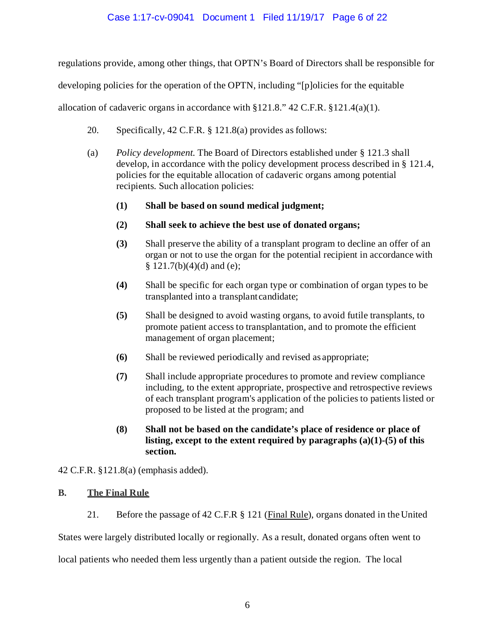# Case 1:17-cv-09041 Document 1 Filed 11/19/17 Page 6 of 22

regulations provide, among other things, that OPTN's Board of Directors shall be responsible for

developing policies for the operation of the OPTN, including "[p]olicies for the equitable

allocation of cadaveric organs in accordance with  $\S 121.8$ ." 42 C.F.R.  $\S 121.4(a)(1)$ .

- 20. Specifically, 42 C.F.R. § 121.8(a) provides asfollows:
- (a) *Policy development.* The Board of Directors established under § 121.3 shall develop, in accordance with the policy development process described in § 121.4, policies for the equitable allocation of cadaveric organs among potential recipients. Such allocation policies:
	- **(1) Shall be based on sound medical judgment;**
	- **(2) Shall seek to achieve the best use of donated organs;**
	- **(3)** Shall preserve the ability of a transplant program to decline an offer of an organ or not to use the organ for the potential recipient in accordance with  $§ 121.7(b)(4)(d)$  and (e);
	- **(4)** Shall be specific for each organ type or combination of organ types to be transplanted into a transplant candidate;
	- **(5)** Shall be designed to avoid wasting organs, to avoid futile transplants, to promote patient access to transplantation, and to promote the efficient management of organ placement;
	- **(6)** Shall be reviewed periodically and revised as appropriate;
	- **(7)** Shall include appropriate procedures to promote and review compliance including, to the extent appropriate, prospective and retrospective reviews of each transplant program's application of the policies to patients listed or proposed to be listed at the program; and
	- **(8) Shall not be based on the candidate's place of residence or place of listing, except to the extent required by paragraphs (a)(1)-(5) of this section.**

42 C.F.R. §121.8(a) (emphasis added).

# **B. The Final Rule**

21. Before the passage of 42 C.F.R § 121 (Final Rule), organs donated in the United

States were largely distributed locally or regionally. As a result, donated organs often went to

local patients who needed them less urgently than a patient outside the region. The local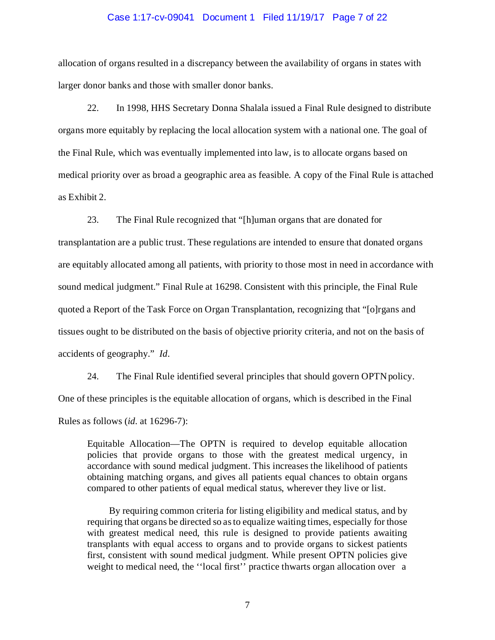# Case 1:17-cv-09041 Document 1 Filed 11/19/17 Page 7 of 22

allocation of organs resulted in a discrepancy between the availability of organs in states with larger donor banks and those with smaller donor banks.

22. In 1998, HHS Secretary Donna Shalala issued a Final Rule designed to distribute organs more equitably by replacing the local allocation system with a national one. The goal of the Final Rule, which was eventually implemented into law, is to allocate organs based on medical priority over as broad a geographic area as feasible. A copy of the Final Rule is attached as Exhibit 2.

23. The Final Rule recognized that "[h]uman organs that are donated for transplantation are a public trust. These regulations are intended to ensure that donated organs are equitably allocated among all patients, with priority to those most in need in accordance with sound medical judgment." Final Rule at 16298. Consistent with this principle, the Final Rule quoted a Report of the Task Force on Organ Transplantation, recognizing that "[o]rgans and tissues ought to be distributed on the basis of objective priority criteria, and not on the basis of accidents of geography." *Id*.

24. The Final Rule identified several principles that should govern OPTNpolicy. One of these principles is the equitable allocation of organs, which is described in the Final Rules as follows (*id.* at 16296-7):

Equitable Allocation—The OPTN is required to develop equitable allocation policies that provide organs to those with the greatest medical urgency, in accordance with sound medical judgment. This increases the likelihood of patients obtaining matching organs, and gives all patients equal chances to obtain organs compared to other patients of equal medical status, wherever they live or list.

By requiring common criteria for listing eligibility and medical status, and by requiring that organs be directed so asto equalize waiting times, especially for those with greatest medical need, this rule is designed to provide patients awaiting transplants with equal access to organs and to provide organs to sickest patients first, consistent with sound medical judgment. While present OPTN policies give weight to medical need, the ''local first'' practice thwarts organ allocation over a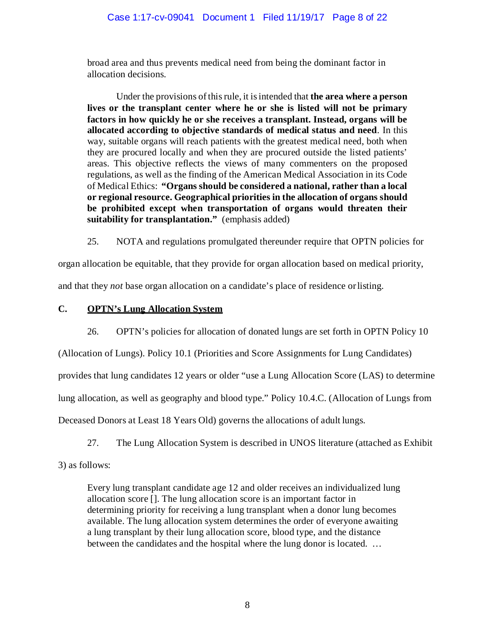broad area and thus prevents medical need from being the dominant factor in allocation decisions.

Under the provisions ofthisrule, it isintended that **the area where a person lives or the transplant center where he or she is listed will not be primary factors in how quickly he or she receives a transplant. Instead, organs will be allocated according to objective standards of medical status and need**. In this way, suitable organs will reach patients with the greatest medical need, both when they are procured locally and when they are procured outside the listed patients' areas. This objective reflects the views of many commenters on the proposed regulations, as well as the finding of the American Medical Association in its Code of Medical Ethics: **"Organs should be considered a national, rather than a local or regional resource. Geographical priorities in the allocation of organs should be prohibited except when transportation of organs would threaten their suitability for transplantation."** (emphasis added)

25. NOTA and regulations promulgated thereunder require that OPTN policies for

organ allocation be equitable, that they provide for organ allocation based on medical priority,

and that they *not* base organ allocation on a candidate's place of residence orlisting.

# **C. OPTN's Lung Allocation System**

26. OPTN's policies for allocation of donated lungs are set forth in OPTN Policy 10

(Allocation of Lungs). Policy 10.1 (Priorities and Score Assignments for Lung Candidates)

provides that lung candidates 12 years or older "use a Lung Allocation Score (LAS) to determine

lung allocation, as well as geography and blood type." Policy 10.4.C. (Allocation of Lungs from

Deceased Donors at Least 18 Years Old) governs the allocations of adult lungs.

27. The Lung Allocation System is described in UNOS literature (attached as Exhibit

3) as follows:

Every lung transplant candidate age 12 and older receives an individualized lung allocation score []. The lung allocation score is an important factor in determining priority for receiving a lung transplant when a donor lung becomes available. The lung allocation system determines the order of everyone awaiting a lung transplant by their lung allocation score, blood type, and the distance between the candidates and the hospital where the lung donor is located. ...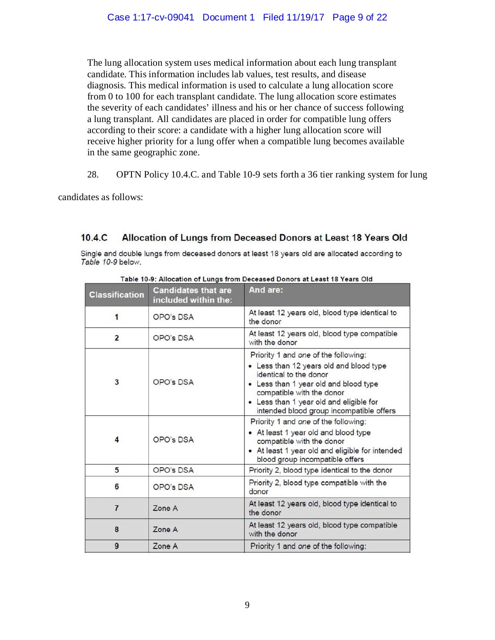The lung allocation system uses medical information about each lung transplant candidate. This information includes lab values, test results, and disease diagnosis. This medical information is used to calculate a lung allocation score from 0 to 100 for each transplant candidate. The lung allocation score estimates the severity of each candidates' illness and his or her chance of success following a lung transplant. All candidates are placed in order for compatible lung offers according to their score: a candidate with a higher lung allocation score will receive higher priority for a lung offer when a compatible lung becomes available in the same geographic zone.

28. OPTN Policy 10.4.C. and Table 10-9 sets forth a 36 tier ranking system for lung

candidates as follows:

#### $10.4<sub>c</sub>$ Allocation of Lungs from Deceased Donors at Least 18 Years Old

Single and double lungs from deceased donors at least 18 years old are allocated according to Table 10-9 below.

| <b>Classification</b> | <b>Candidates that are</b><br>included within the: | And are:                                                                                                                                                                                                                                                               |
|-----------------------|----------------------------------------------------|------------------------------------------------------------------------------------------------------------------------------------------------------------------------------------------------------------------------------------------------------------------------|
| 1                     | OPO's DSA                                          | At least 12 years old, blood type identical to<br>the donor                                                                                                                                                                                                            |
| $\overline{2}$        | OPO's DSA                                          | At least 12 years old, blood type compatible<br>with the donor                                                                                                                                                                                                         |
| 3                     | OPO's DSA                                          | Priority 1 and one of the following:<br>• Less than 12 years old and blood type<br>identical to the donor<br>• Less than 1 year old and blood type<br>compatible with the donor<br>• Less than 1 year old and eligible for<br>intended blood group incompatible offers |
| 4                     | OPO's DSA                                          | Priority 1 and one of the following:<br>• At least 1 year old and blood type<br>compatible with the donor<br>• At least 1 year old and eligible for intended<br>blood group incompatible offers                                                                        |
| 5                     | <b>OPO's DSA</b>                                   | Priority 2, blood type identical to the donor                                                                                                                                                                                                                          |
| 6                     | OPO's DSA                                          | Priority 2, blood type compatible with the<br>donor                                                                                                                                                                                                                    |
| $\overline{7}$        | Zone A                                             | At least 12 years old, blood type identical to<br>the donor                                                                                                                                                                                                            |
| 8                     | Zone A                                             | At least 12 years old, blood type compatible<br>with the donor                                                                                                                                                                                                         |
| 9                     | Zone A                                             | Priority 1 and one of the following:                                                                                                                                                                                                                                   |

Table 10-9: Allocation of Lungs from Deceased Donors at Least 18 Years Old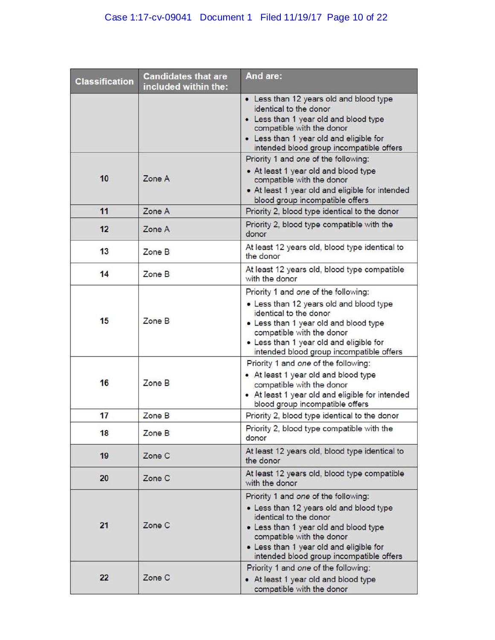# Case 1:17-cv-09041 Document 1 Filed 11/19/17 Page 10 of 22

| <b>Classification</b> | <b>Candidates that are</b><br>included within the: | And are:                                                                                                                                                                                                                                                               |
|-----------------------|----------------------------------------------------|------------------------------------------------------------------------------------------------------------------------------------------------------------------------------------------------------------------------------------------------------------------------|
|                       |                                                    | • Less than 12 years old and blood type<br>identical to the donor<br>• Less than 1 year old and blood type<br>compatible with the donor<br>• Less than 1 year old and eligible for<br>intended blood group incompatible offers                                         |
| 10                    | Zone A                                             | Priority 1 and one of the following:<br>• At least 1 year old and blood type<br>compatible with the donor<br>• At least 1 year old and eligible for intended<br>blood group incompatible offers                                                                        |
| 11                    | Zone A                                             | Priority 2, blood type identical to the donor                                                                                                                                                                                                                          |
| 12                    | Zone A                                             | Priority 2, blood type compatible with the<br>donor                                                                                                                                                                                                                    |
| 13                    | Zone B                                             | At least 12 years old, blood type identical to<br>the donor                                                                                                                                                                                                            |
| 14                    | Zone B                                             | At least 12 years old, blood type compatible<br>with the donor                                                                                                                                                                                                         |
| 15                    | Zone B                                             | Priority 1 and one of the following:<br>• Less than 12 years old and blood type<br>identical to the donor<br>• Less than 1 year old and blood type<br>compatible with the donor<br>• Less than 1 year old and eligible for<br>intended blood group incompatible offers |
| 16                    | Zone B                                             | Priority 1 and one of the following:<br>• At least 1 year old and blood type<br>compatible with the donor<br>• At least 1 year old and eligible for intended<br>blood group incompatible offers                                                                        |
| 17                    | Zone B                                             | Priority 2, blood type identical to the donor                                                                                                                                                                                                                          |
| 18                    | Zone B                                             | Priority 2, blood type compatible with the<br>donor                                                                                                                                                                                                                    |
| 19                    | Zone C                                             | At least 12 years old, blood type identical to<br>the donor                                                                                                                                                                                                            |
| 20                    | Zone C                                             | At least 12 years old, blood type compatible<br>with the donor                                                                                                                                                                                                         |
| 21                    | Zone C                                             | Priority 1 and one of the following:<br>. Less than 12 years old and blood type<br>identical to the donor<br>• Less than 1 year old and blood type<br>compatible with the donor<br>• Less than 1 year old and eligible for<br>intended blood group incompatible offers |
| 22                    | Zone C                                             | Priority 1 and one of the following:<br>• At least 1 year old and blood type<br>compatible with the donor                                                                                                                                                              |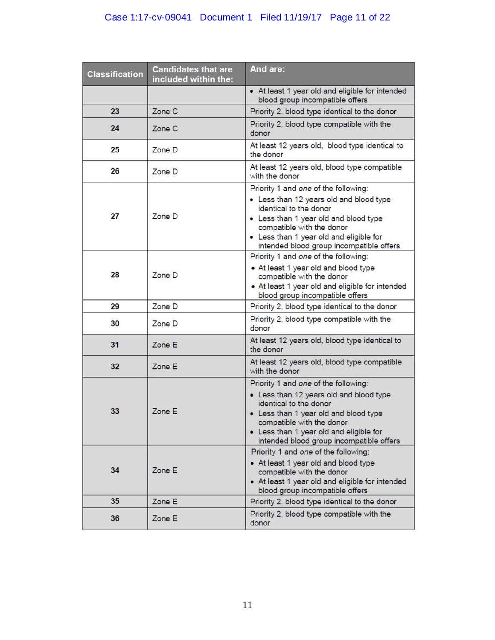# Case 1:17-cv-09041 Document 1 Filed 11/19/17 Page 11 of 22

| <b>Classification</b> | <b>Candidates that are</b><br>included within the: | And are:                                                                                                                                                                                                                                                               |
|-----------------------|----------------------------------------------------|------------------------------------------------------------------------------------------------------------------------------------------------------------------------------------------------------------------------------------------------------------------------|
|                       |                                                    | • At least 1 year old and eligible for intended<br>blood group incompatible offers                                                                                                                                                                                     |
| 23                    | Zone C                                             | Priority 2, blood type identical to the donor                                                                                                                                                                                                                          |
| 24                    | Zone C                                             | Priority 2, blood type compatible with the<br>donor                                                                                                                                                                                                                    |
| 25                    | Zone D                                             | At least 12 years old, blood type identical to<br>the donor                                                                                                                                                                                                            |
| 26                    | Zone D                                             | At least 12 years old, blood type compatible<br>with the donor                                                                                                                                                                                                         |
| 27                    | Zone D                                             | Priority 1 and one of the following:<br>• Less than 12 years old and blood type<br>identical to the donor<br>• Less than 1 year old and blood type<br>compatible with the donor<br>• Less than 1 year old and eligible for<br>intended blood group incompatible offers |
| 28                    | Zone D                                             | Priority 1 and one of the following:<br>• At least 1 year old and blood type<br>compatible with the donor<br>• At least 1 year old and eligible for intended<br>blood group incompatible offers                                                                        |
| 29                    | Zone D                                             | Priority 2, blood type identical to the donor                                                                                                                                                                                                                          |
| 30                    | Zone D                                             | Priority 2, blood type compatible with the<br>donor                                                                                                                                                                                                                    |
| 31                    | Zone E                                             | At least 12 years old, blood type identical to<br>the donor                                                                                                                                                                                                            |
| 32                    | Zone E                                             | At least 12 years old, blood type compatible<br>with the donor                                                                                                                                                                                                         |
| 33                    | Zone E                                             | Priority 1 and one of the following:<br>• Less than 12 years old and blood type<br>identical to the donor<br>• Less than 1 year old and blood type<br>compatible with the donor<br>• Less than 1 year old and eligible for<br>intended blood group incompatible offers |
| 34                    | Zone E                                             | Priority 1 and one of the following:<br>• At least 1 year old and blood type<br>compatible with the donor<br>• At least 1 year old and eligible for intended<br>blood group incompatible offers                                                                        |
| 35                    | Zone E                                             | Priority 2, blood type identical to the donor                                                                                                                                                                                                                          |
| 36                    | Zone E                                             | Priority 2, blood type compatible with the<br>donor                                                                                                                                                                                                                    |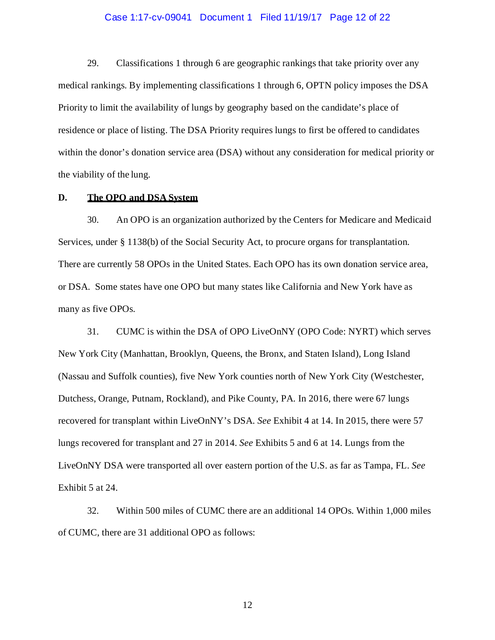#### Case 1:17-cv-09041 Document 1 Filed 11/19/17 Page 12 of 22

29. Classifications 1 through 6 are geographic rankings that take priority over any medical rankings. By implementing classifications 1 through 6, OPTN policy imposes the DSA Priority to limit the availability of lungs by geography based on the candidate's place of residence or place of listing. The DSA Priority requires lungs to first be offered to candidates within the donor's donation service area (DSA) without any consideration for medical priority or the viability of the lung.

### **D. The OPO and DSA System**

30. An OPO is an organization authorized by the Centers for Medicare and Medicaid Services, under § 1138(b) of the Social Security Act, to procure organs for transplantation. There are currently 58 OPOs in the United States. Each OPO has its own donation service area, or DSA. Some states have one OPO but many states like California and New York have as many as five OPOs.

31. CUMC is within the DSA of OPO LiveOnNY (OPO Code: NYRT) which serves New York City (Manhattan, Brooklyn, Queens, the Bronx, and Staten Island), Long Island (Nassau and Suffolk counties), five New York counties north of New York City (Westchester, Dutchess, Orange, Putnam, Rockland), and Pike County, PA. In 2016, there were 67 lungs recovered for transplant within LiveOnNY's DSA. *See* Exhibit 4 at 14. In 2015, there were 57 lungs recovered for transplant and 27 in 2014. *See* Exhibits 5 and 6 at 14. Lungs from the LiveOnNY DSA were transported all over eastern portion of the U.S. as far as Tampa, FL. *See*  Exhibit 5 at 24.

32. Within 500 miles of CUMC there are an additional 14 OPOs. Within 1,000 miles of CUMC, there are 31 additional OPO as follows: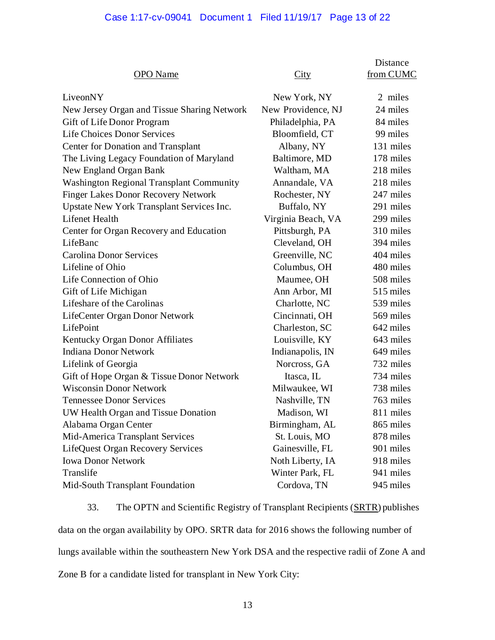# Case 1:17-cv-09041 Document 1 Filed 11/19/17 Page 13 of 22

|                                                 |                    | <b>Distance</b> |
|-------------------------------------------------|--------------------|-----------------|
| <b>OPO</b> Name                                 | City               | from CUMC       |
| LiveonNY                                        | New York, NY       | 2 miles         |
| New Jersey Organ and Tissue Sharing Network     | New Providence, NJ | 24 miles        |
| Gift of Life Donor Program                      | Philadelphia, PA   | 84 miles        |
| <b>Life Choices Donor Services</b>              | Bloomfield, CT     | 99 miles        |
| <b>Center for Donation and Transplant</b>       | Albany, NY         | 131 miles       |
| The Living Legacy Foundation of Maryland        | Baltimore, MD      | 178 miles       |
| New England Organ Bank                          | Waltham, MA        | 218 miles       |
| <b>Washington Regional Transplant Community</b> | Annandale, VA      | 218 miles       |
| <b>Finger Lakes Donor Recovery Network</b>      | Rochester, NY      | 247 miles       |
| Upstate New York Transplant Services Inc.       | Buffalo, NY        | 291 miles       |
| Lifenet Health                                  | Virginia Beach, VA | 299 miles       |
| Center for Organ Recovery and Education         | Pittsburgh, PA     | 310 miles       |
| LifeBanc                                        | Cleveland, OH      | 394 miles       |
| <b>Carolina Donor Services</b>                  | Greenville, NC     | 404 miles       |
| Lifeline of Ohio                                | Columbus, OH       | 480 miles       |
| Life Connection of Ohio                         | Maumee, OH         | 508 miles       |
| Gift of Life Michigan                           | Ann Arbor, MI      | 515 miles       |
| Lifeshare of the Carolinas                      | Charlotte, NC      | 539 miles       |
| LifeCenter Organ Donor Network                  | Cincinnati, OH     | 569 miles       |
| LifePoint                                       | Charleston, SC     | 642 miles       |
| Kentucky Organ Donor Affiliates                 | Louisville, KY     | 643 miles       |
| <b>Indiana Donor Network</b>                    | Indianapolis, IN   | 649 miles       |
| Lifelink of Georgia                             | Norcross, GA       | 732 miles       |
| Gift of Hope Organ & Tissue Donor Network       | Itasca, IL         | 734 miles       |
| <b>Wisconsin Donor Network</b>                  | Milwaukee, WI      | 738 miles       |
| <b>Tennessee Donor Services</b>                 | Nashville, TN      | 763 miles       |
| UW Health Organ and Tissue Donation             | Madison, WI        | 811 miles       |
| Alabama Organ Center                            | Birmingham, AL     | 865 miles       |
| Mid-America Transplant Services                 | St. Louis, MO      | 878 miles       |
| LifeQuest Organ Recovery Services               | Gainesville, FL    | 901 miles       |
| <b>Iowa Donor Network</b>                       | Noth Liberty, IA   | 918 miles       |
| Translife                                       | Winter Park, FL    | 941 miles       |
| Mid-South Transplant Foundation                 | Cordova, TN        | 945 miles       |

33. The OPTN and Scientific Registry of Transplant Recipients (SRTR) publishes data on the organ availability by OPO. SRTR data for 2016 shows the following number of lungs available within the southeastern New York DSA and the respective radii of Zone A and Zone B for a candidate listed for transplant in New York City: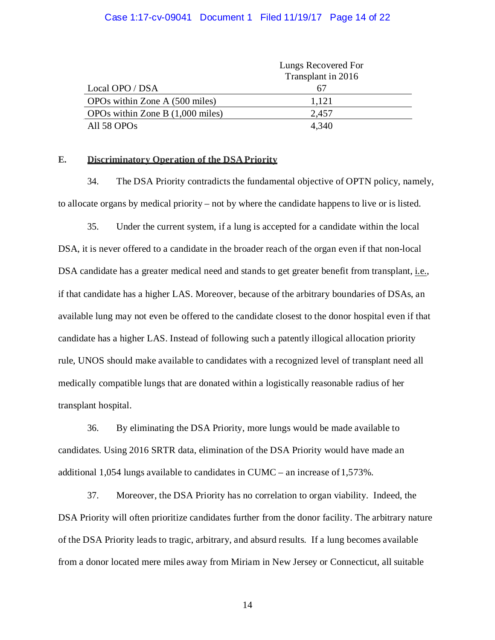#### Case 1:17-cv-09041 Document 1 Filed 11/19/17 Page 14 of 22

|                                    | Lungs Recovered For |  |
|------------------------------------|---------------------|--|
|                                    | Transplant in 2016  |  |
| Local OPO / DSA                    |                     |  |
| OPOs within Zone A (500 miles)     | 1,121               |  |
| OPOs within Zone B $(1,000$ miles) | 2,457               |  |
| All 58 OPOs                        | 4.340               |  |

#### **E. Discriminatory Operation of the DSA Priority**

34. The DSA Priority contradicts the fundamental objective of OPTN policy, namely, to allocate organs by medical priority – not by where the candidate happens to live or is listed.

35. Under the current system, if a lung is accepted for a candidate within the local DSA, it is never offered to a candidate in the broader reach of the organ even if that non-local DSA candidate has a greater medical need and stands to get greater benefit from transplant, *i.e.*, if that candidate has a higher LAS. Moreover, because of the arbitrary boundaries of DSAs, an available lung may not even be offered to the candidate closest to the donor hospital even if that candidate has a higher LAS. Instead of following such a patently illogical allocation priority rule, UNOS should make available to candidates with a recognized level of transplant need all medically compatible lungs that are donated within a logistically reasonable radius of her transplant hospital.

36. By eliminating the DSA Priority, more lungs would be made available to candidates. Using 2016 SRTR data, elimination of the DSA Priority would have made an additional 1,054 lungs available to candidates in CUMC – an increase of  $1,573\%$ .

37. Moreover, the DSA Priority has no correlation to organ viability. Indeed, the DSA Priority will often prioritize candidates further from the donor facility. The arbitrary nature of the DSA Priority leads to tragic, arbitrary, and absurd results. If a lung becomes available from a donor located mere miles away from Miriam in New Jersey or Connecticut, all suitable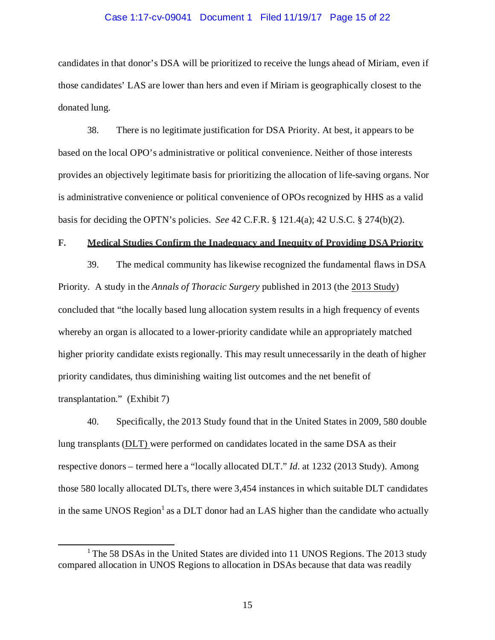#### Case 1:17-cv-09041 Document 1 Filed 11/19/17 Page 15 of 22

candidates in that donor's DSA will be prioritized to receive the lungs ahead of Miriam, even if those candidates' LAS are lower than hers and even if Miriam is geographically closest to the donated lung.

38. There is no legitimate justification for DSA Priority. At best, it appears to be based on the local OPO's administrative or political convenience. Neither of those interests provides an objectively legitimate basis for prioritizing the allocation of life-saving organs. Nor is administrative convenience or political convenience of OPOs recognized by HHS as a valid basis for deciding the OPTN's policies. *See* 42 C.F.R. § 121.4(a); 42 U.S.C. § 274(b)(2).

#### **F. Medical Studies Confirm the Inadequacy and Inequity of Providing DSA Priority**

39. The medical community has likewise recognized the fundamental flaws in DSA Priority. A study in the *Annals of Thoracic Surgery* published in 2013 (the 2013 Study) concluded that "the locally based lung allocation system results in a high frequency of events whereby an organ is allocated to a lower-priority candidate while an appropriately matched higher priority candidate exists regionally. This may result unnecessarily in the death of higher priority candidates, thus diminishing waiting list outcomes and the net benefit of transplantation." (Exhibit 7)

40. Specifically, the 2013 Study found that in the United States in 2009, 580 double lung transplants (DLT) were performed on candidates located in the same DSA as their respective donors – termed here a "locally allocated DLT." *Id*. at 1232 (2013 Study). Among those 580 locally allocated DLTs, there were 3,454 instances in which suitable DLT candidates in the same UNOS Region<sup>1</sup> as a DLT donor had an LAS higher than the candidate who actually

<sup>&</sup>lt;sup>1</sup> The 58 DSAs in the United States are divided into 11 UNOS Regions. The 2013 study compared allocation in UNOS Regions to allocation in DSAs because that data was readily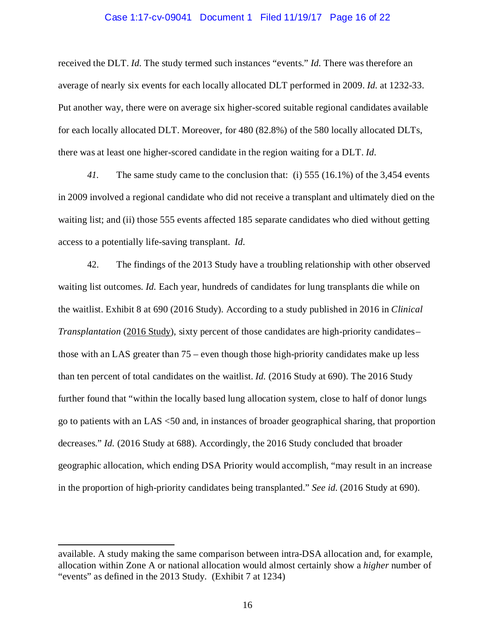#### Case 1:17-cv-09041 Document 1 Filed 11/19/17 Page 16 of 22

received the DLT. *Id.* The study termed such instances "events." *Id.* There was therefore an average of nearly six events for each locally allocated DLT performed in 2009. *Id.* at 1232-33. Put another way, there were on average six higher-scored suitable regional candidates available for each locally allocated DLT. Moreover, for 480 (82.8%) of the 580 locally allocated DLTs, there was at least one higher-scored candidate in the region waiting for a DLT. *Id.*

*41.* The same study came to the conclusion that: (i) 555 (16.1%) of the 3,454 events in 2009 involved a regional candidate who did not receive a transplant and ultimately died on the waiting list; and (ii) those 555 events affected 185 separate candidates who died without getting access to a potentially life-saving transplant. *Id.*

42. The findings of the 2013 Study have a troubling relationship with other observed waiting list outcomes. *Id.* Each year, hundreds of candidates for lung transplants die while on the waitlist. Exhibit 8 at 690 (2016 Study). According to a study published in 2016 in *Clinical Transplantation* (2016 Study), sixty percent of those candidates are high-priority candidates– those with an LAS greater than 75 – even though those high-priority candidates make up less than ten percent of total candidates on the waitlist. *Id.* (2016 Study at 690). The 2016 Study further found that "within the locally based lung allocation system, close to half of donor lungs go to patients with an LAS <50 and, in instances of broader geographical sharing, that proportion decreases." *Id.* (2016 Study at 688). Accordingly, the 2016 Study concluded that broader geographic allocation, which ending DSA Priority would accomplish, "may result in an increase in the proportion of high-priority candidates being transplanted." *See id.* (2016 Study at 690).

available. A study making the same comparison between intra-DSA allocation and, for example, allocation within Zone A or national allocation would almost certainly show a *higher* number of "events" as defined in the 2013 Study. (Exhibit 7 at 1234)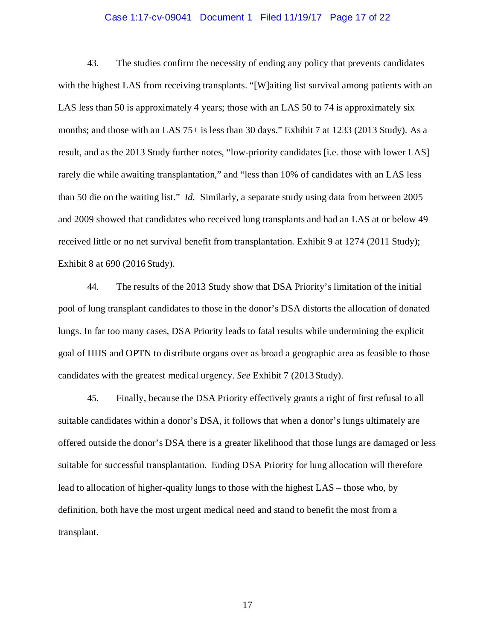#### Case 1:17-cv-09041 Document 1 Filed 11/19/17 Page 17 of 22

43. The studies confirm the necessity of ending any policy that prevents candidates with the highest LAS from receiving transplants. "[W]aiting list survival among patients with an LAS less than 50 is approximately 4 years; those with an LAS 50 to 74 is approximately six months; and those with an LAS 75+ is less than 30 days." Exhibit 7 at 1233 (2013 Study). As a result, and as the 2013 Study further notes, "low-priority candidates [i.e. those with lower LAS] rarely die while awaiting transplantation," and "less than 10% of candidates with an LAS less than 50 die on the waiting list." *Id.* Similarly, a separate study using data from between 2005 and 2009 showed that candidates who received lung transplants and had an LAS at or below 49 received little or no net survival benefit from transplantation. Exhibit 9 at 1274 (2011 Study); Exhibit 8 at 690 (2016 Study).

44. The results of the 2013 Study show that DSA Priority's limitation of the initial pool of lung transplant candidates to those in the donor's DSA distorts the allocation of donated lungs. In far too many cases, DSA Priority leads to fatal results while undermining the explicit goal of HHS and OPTN to distribute organs over as broad a geographic area as feasible to those candidates with the greatest medical urgency. *See* Exhibit 7 (2013Study).

45. Finally, because the DSA Priority effectively grants a right of first refusal to all suitable candidates within a donor's DSA, it follows that when a donor's lungs ultimately are offered outside the donor's DSA there is a greater likelihood that those lungs are damaged or less suitable for successful transplantation. Ending DSA Priority for lung allocation will therefore lead to allocation of higher-quality lungs to those with the highest LAS – those who, by definition, both have the most urgent medical need and stand to benefit the most from a transplant.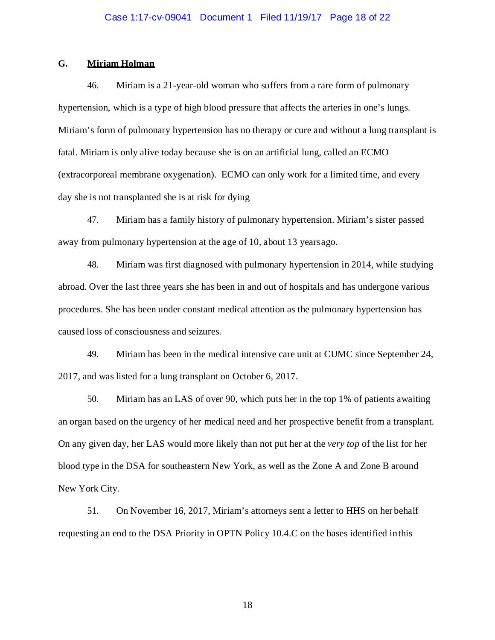# Case 1:17-cv-09041 Document 1 Filed 11/19/17 Page 18 of 22

### **G. Miriam Holman**

46. Miriam is a 21-year-old woman who suffers from a rare form of pulmonary hypertension, which is a type of high blood pressure that affects the arteries in one's lungs. Miriam's form of pulmonary hypertension has no therapy or cure and without a lung transplant is fatal. Miriam is only alive today because she is on an artificial lung, called an ECMO (extracorporeal membrane oxygenation). ECMO can only work for a limited time, and every day she is not transplanted she is at risk for dying

47. Miriam has a family history of pulmonary hypertension. Miriam's sister passed away from pulmonary hypertension at the age of 10, about 13 yearsago.

48. Miriam was first diagnosed with pulmonary hypertension in 2014, while studying abroad. Over the last three years she has been in and out of hospitals and has undergone various procedures. She has been under constant medical attention as the pulmonary hypertension has caused loss of consciousness and seizures.

49. Miriam has been in the medical intensive care unit at CUMC since September 24, 2017, and was listed for a lung transplant on October 6, 2017.

50. Miriam has an LAS of over 90, which puts her in the top 1% of patients awaiting an organ based on the urgency of her medical need and her prospective benefit from a transplant. On any given day, her LAS would more likely than not put her at the *very top* of the list for her blood type in the DSA for southeastern New York, as well as the Zone A and Zone B around New York City.

51. On November 16, 2017, Miriam's attorneys sent a letter to HHS on her behalf requesting an end to the DSA Priority in OPTN Policy 10.4.C on the bases identified inthis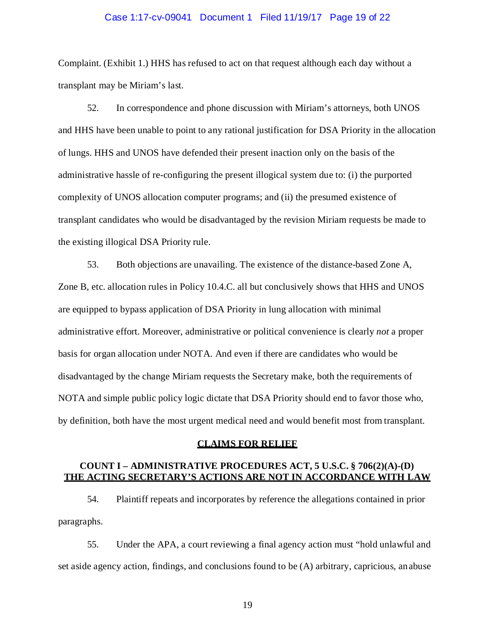#### Case 1:17-cv-09041 Document 1 Filed 11/19/17 Page 19 of 22

Complaint. (Exhibit 1.) HHS has refused to act on that request although each day without a transplant may be Miriam's last.

52. In correspondence and phone discussion with Miriam's attorneys, both UNOS and HHS have been unable to point to any rational justification for DSA Priority in the allocation of lungs. HHS and UNOS have defended their present inaction only on the basis of the administrative hassle of re-configuring the present illogical system due to: (i) the purported complexity of UNOS allocation computer programs; and (ii) the presumed existence of transplant candidates who would be disadvantaged by the revision Miriam requests be made to the existing illogical DSA Priority rule.

53. Both objections are unavailing. The existence of the distance-based Zone A, Zone B, etc. allocation rules in Policy 10.4.C. all but conclusively shows that HHS and UNOS are equipped to bypass application of DSA Priority in lung allocation with minimal administrative effort. Moreover, administrative or political convenience is clearly *not* a proper basis for organ allocation under NOTA. And even if there are candidates who would be disadvantaged by the change Miriam requests the Secretary make, both the requirements of NOTA and simple public policy logic dictate that DSA Priority should end to favor those who, by definition, both have the most urgent medical need and would benefit most from transplant.

#### **CLAIMS FOR RELIEF**

### **COUNT I – ADMINISTRATIVE PROCEDURES ACT, 5 U.S.C. § 706(2)(A)-(D) THE ACTING SECRETARY'S ACTIONS ARE NOT IN ACCORDANCE WITH LAW**

54. Plaintiff repeats and incorporates by reference the allegations contained in prior paragraphs.

55. Under the APA, a court reviewing a final agency action must "hold unlawful and set aside agency action, findings, and conclusions found to be (A) arbitrary, capricious, anabuse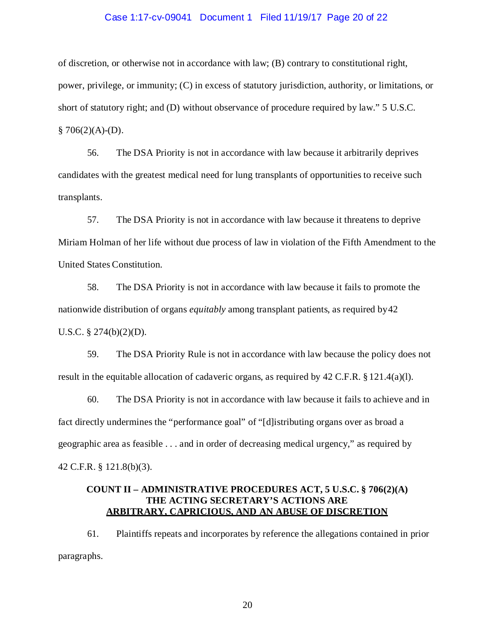#### Case 1:17-cv-09041 Document 1 Filed 11/19/17 Page 20 of 22

of discretion, or otherwise not in accordance with law; (B) contrary to constitutional right, power, privilege, or immunity; (C) in excess of statutory jurisdiction, authority, or limitations, or short of statutory right; and (D) without observance of procedure required by law." 5 U.S.C.  $$706(2)(A)-(D).$ 

56. The DSA Priority is not in accordance with law because it arbitrarily deprives candidates with the greatest medical need for lung transplants of opportunities to receive such transplants.

57. The DSA Priority is not in accordance with law because it threatens to deprive Miriam Holman of her life without due process of law in violation of the Fifth Amendment to the United States Constitution.

58. The DSA Priority is not in accordance with law because it fails to promote the nationwide distribution of organs *equitably* among transplant patients, as required by42 U.S.C. § 274(b)(2)(D).

59. The DSA Priority Rule is not in accordance with law because the policy does not result in the equitable allocation of cadaveric organs, as required by 42 C.F.R. § 121.4(a)(l).

60. The DSA Priority is not in accordance with law because it fails to achieve and in fact directly undermines the "performance goal" of "[d]istributing organs over as broad a geographic area as feasible . . . and in order of decreasing medical urgency," as required by 42 C.F.R. § 121.8(b)(3).

# **COUNT II – ADMINISTRATIVE PROCEDURES ACT, 5 U.S.C. § 706(2)(A) THE ACTING SECRETARY'S ACTIONS ARE ARBITRARY, CAPRICIOUS, AND AN ABUSE OF DISCRETION**

61. Plaintiffs repeats and incorporates by reference the allegations contained in prior paragraphs.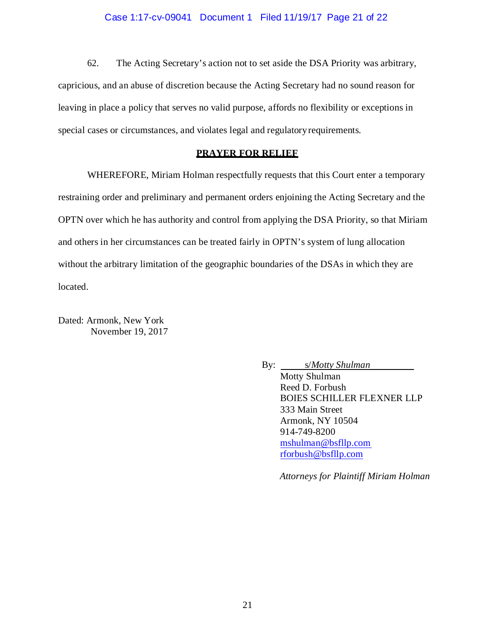## Case 1:17-cv-09041 Document 1 Filed 11/19/17 Page 21 of 22

62. The Acting Secretary's action not to set aside the DSA Priority was arbitrary, capricious, and an abuse of discretion because the Acting Secretary had no sound reason for leaving in place a policy that serves no valid purpose, affords no flexibility or exceptions in special cases or circumstances, and violates legal and regulatoryrequirements.

# **PRAYER FOR RELIEF**

WHEREFORE, Miriam Holman respectfully requests that this Court enter a temporary restraining order and preliminary and permanent orders enjoining the Acting Secretary and the OPTN over which he has authority and control from applying the DSA Priority, so that Miriam and others in her circumstances can be treated fairly in OPTN's system of lung allocation without the arbitrary limitation of the geographic boundaries of the DSAs in which they are located.

Dated: Armonk, New York November 19, 2017

> By: s/*Motty Shulman* Motty Shulman Reed D. Forbush BOIES SCHILLER FLEXNER LLP 333 Main Street Armonk, NY 10504 914-749-8200 [mshulman@bsfllp.com](mailto:mshulman@bsfllp.com) [rforbush@bsfllp.com](mailto:rforbush@bsfllp.com)

> > *Attorneys for Plaintiff Miriam Holman*